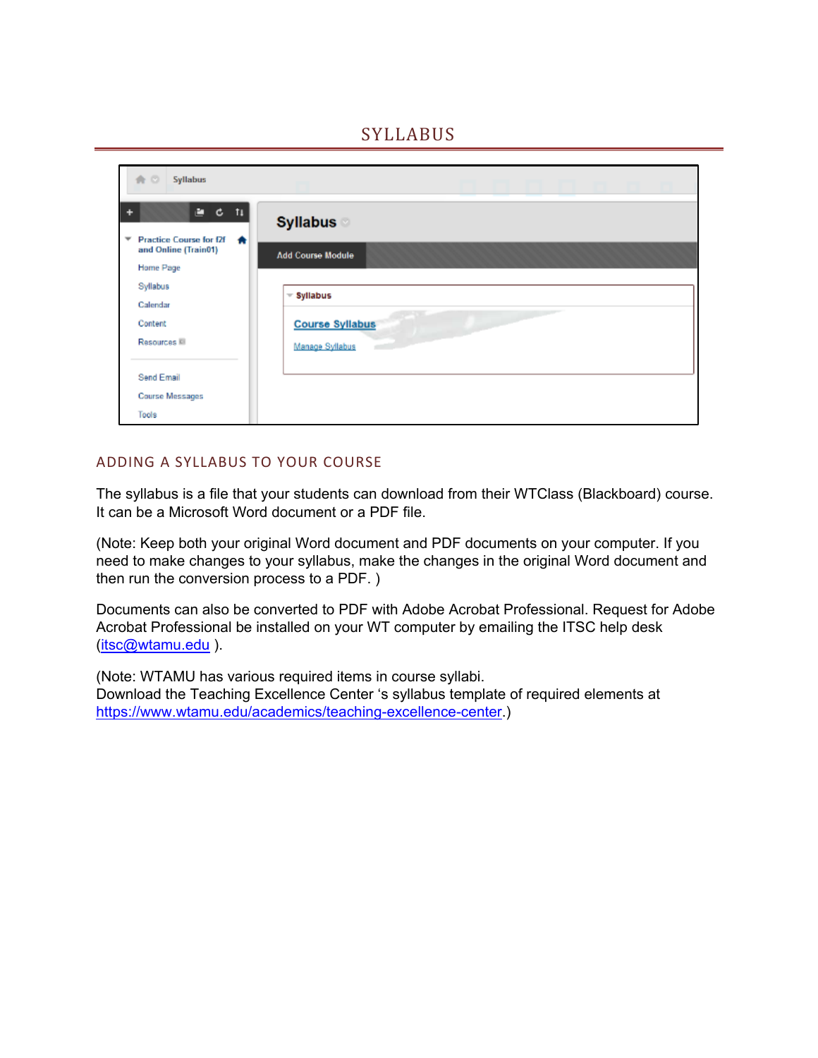# **SYLLABUS**

| 合の<br><b>Syllabus</b>                                                                                                                     |                                                           |
|-------------------------------------------------------------------------------------------------------------------------------------------|-----------------------------------------------------------|
| Ē.<br>¢<br>$-t_{\downarrow}$<br>÷<br><b>Practice Course for f2f</b><br>$\overline{\phantom{a}}$<br>₩<br>and Online (Train01)<br>Home Page | <b>Syllabus</b><br><b>Add Course Module</b>               |
| Syllabus<br>Calendar<br>Content<br>Resources <sup></sup>                                                                                  | $=$ Syllabus<br><b>Course Syllabus</b><br>Manage Syllabus |
| Send Email<br><b>Course Messages</b><br>Tools                                                                                             |                                                           |

#### ADDING A SYLLABUS TO YOUR COURSE

The syllabus is a file that your students can download from their WTClass (Blackboard) course. It can be a Microsoft Word document or a PDF file.

(Note: Keep both your original Word document and PDF documents on your computer. If you need to make changes to your syllabus, make the changes in the original Word document and then run the conversion process to a PDF. )

Documents can also be converted to PDF with Adobe Acrobat Professional. Request for Adobe Acrobat Professional be installed on your WT computer by emailing the ITSC help desk [\(itsc@wtamu.edu](mailto:itsc@wtamu.edu) ).

(Note: WTAMU has various required items in course syllabi. Download the Teaching Excellence Center 's syllabus template of required elements at [https://www.wtamu.edu/academics/teaching-excellence-center.](https://www.wtamu.edu/academics/teaching-excellence-center))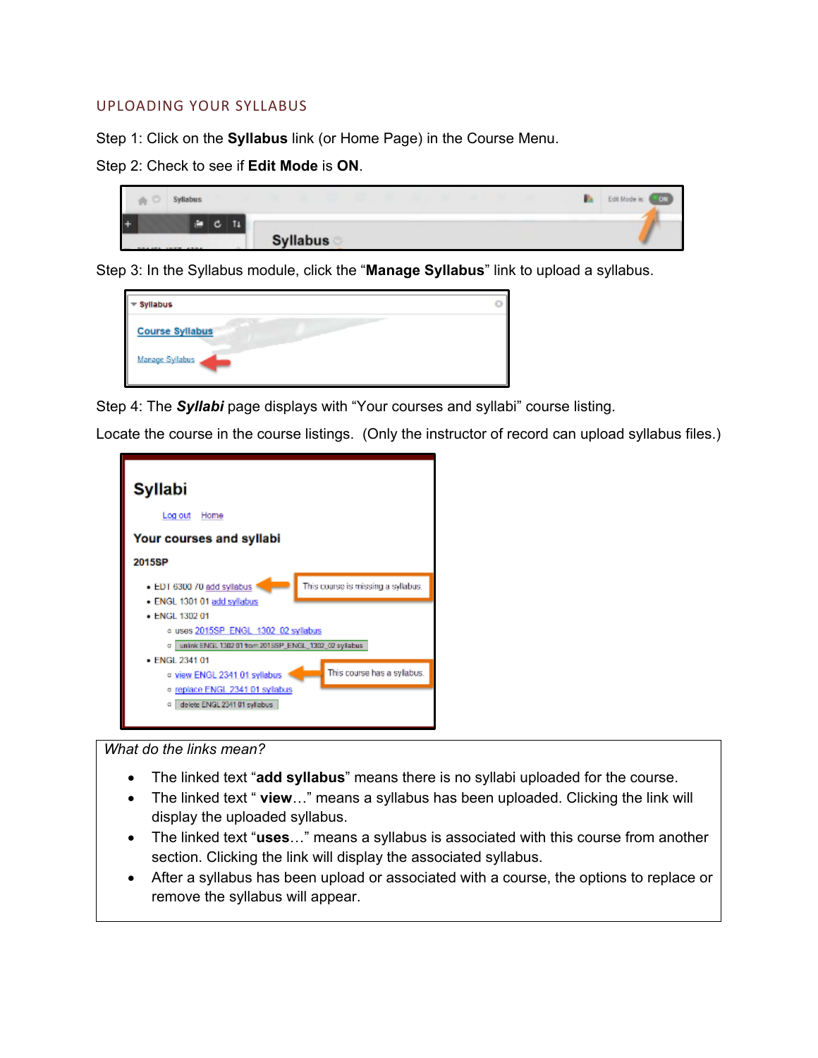#### UPLOADING YOUR SYLLABUS

Step 1: Click on the **Syllabus** link (or Home Page) in the Course Menu.

Step 2: Check to see if **Edit Mode** is **ON**.

|     | <b>Syllabus</b> |                 | Edit Mode is: ( JON |
|-----|-----------------|-----------------|---------------------|
| $+$ | T1<br>c         |                 |                     |
|     |                 | <b>Syllabus</b> |                     |

Step 3: In the Syllabus module, click the "**Manage Syllabus**" link to upload a syllabus.

| Syllabus               | 63 |
|------------------------|----|
| <b>Course Syllabus</b> |    |
| Manage Syllabus        |    |

Step 4: The *Syllabi* page displays with "Your courses and syllabi" course listing.

Locate the course in the course listings. (Only the instructor of record can upload syllabus files.)



#### *What do the links mean?*

- The linked text "**add syllabus**" means there is no syllabi uploaded for the course.
- The linked text " **view**…" means a syllabus has been uploaded. Clicking the link will display the uploaded syllabus.
- The linked text "**uses**…" means a syllabus is associated with this course from another section. Clicking the link will display the associated syllabus.
- After a syllabus has been upload or associated with a course, the options to replace or remove the syllabus will appear.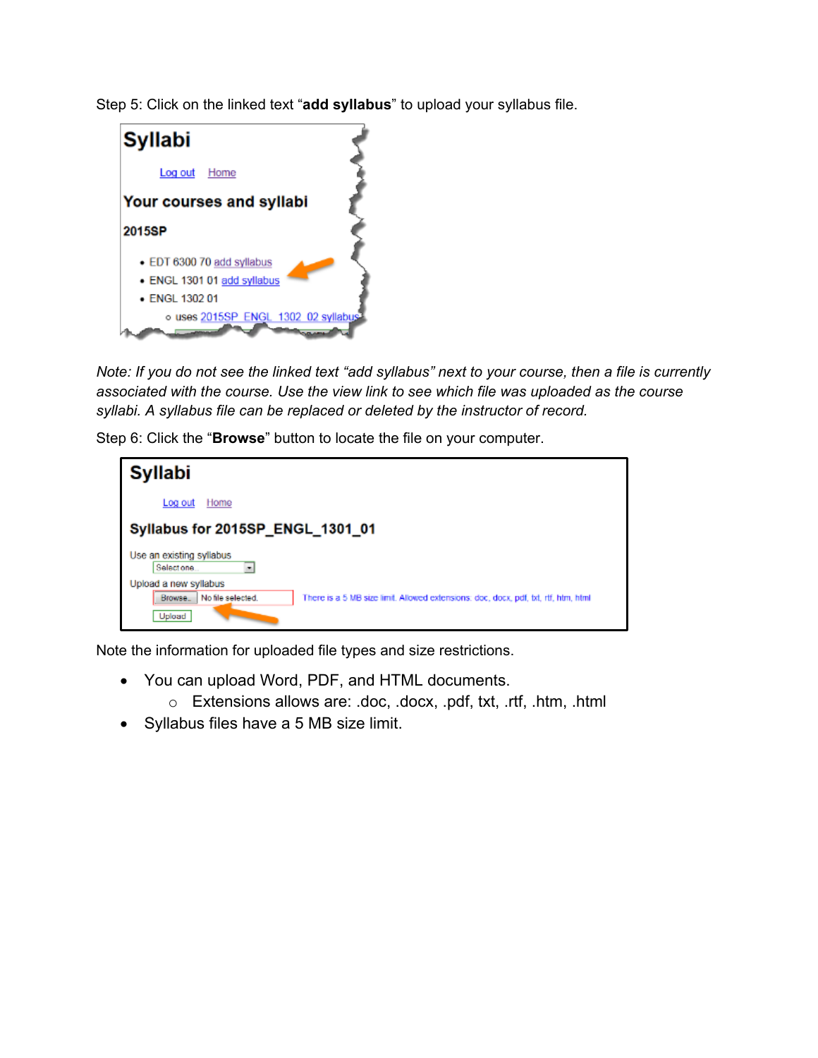Step 5: Click on the linked text "**add syllabus**" to upload your syllabus file.

| <b>Syllabi</b>                      |  |
|-------------------------------------|--|
| Log out<br>Home                     |  |
| <b>Your courses and syllabi</b>     |  |
| 2015SP                              |  |
| • EDT 6300 70 add syllabus          |  |
| · ENGL 1301 01 add syllabus         |  |
| $\bullet$ ENGL 1302 01              |  |
| o uses 2015SP_ENGL_1302_02 syllabus |  |

*Note: If you do not see the linked text "add syllabus" next to your course, then a file is currently associated with the course. Use the view link to see which file was uploaded as the course syllabi. A syllabus file can be replaced or deleted by the instructor of record.*

Step 6: Click the "**Browse**" button to locate the file on your computer.

| <b>Syllabi</b>                                                              |                                                                                    |
|-----------------------------------------------------------------------------|------------------------------------------------------------------------------------|
| Log out<br>Home                                                             |                                                                                    |
| Syllabus for 2015SP_ENGL_1301_01                                            |                                                                                    |
| Use an existing syllabus<br>Selectione.<br>٠                                |                                                                                    |
| Upload a new syllabus<br>No file selected.<br>Browse <sub>-</sub><br>Upload | There is a 5 MB size limit. Allowed extensions: doc, docx, pdf, bt, rtf, htm, html |

Note the information for uploaded file types and size restrictions.

- You can upload Word, PDF, and HTML documents.
	- o Extensions allows are: .doc, .docx, .pdf, txt, .rtf, .htm, .html
- Syllabus files have a 5 MB size limit.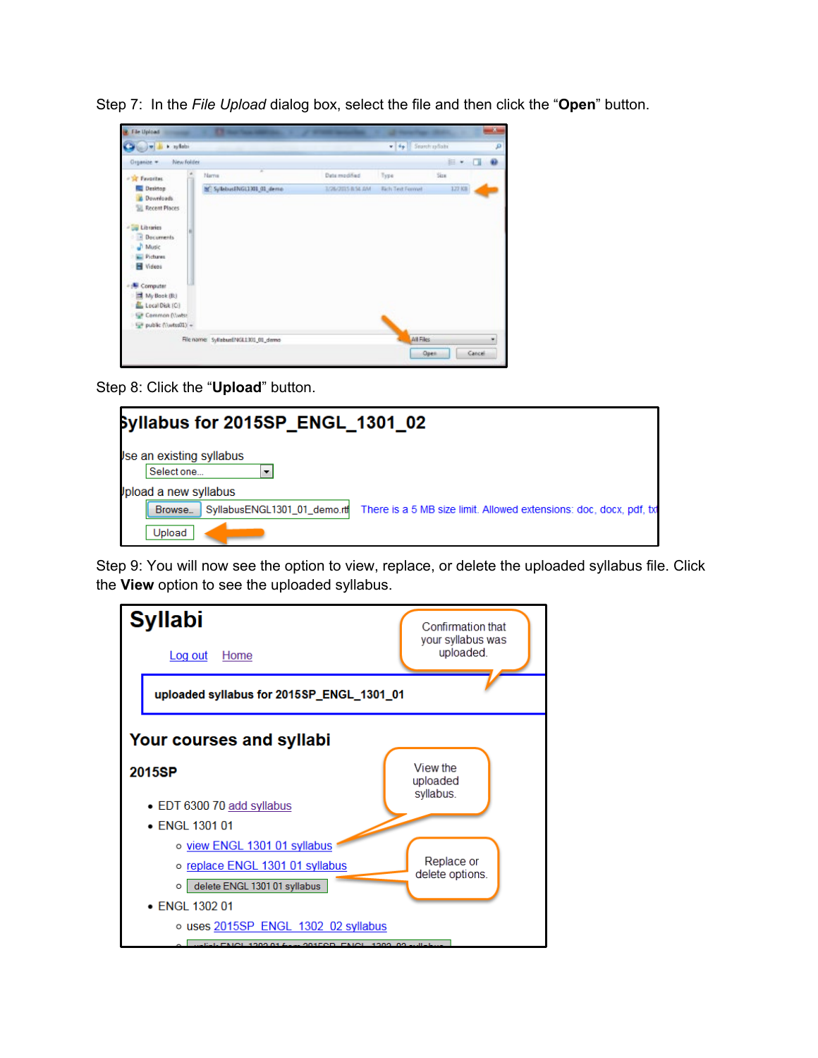Step 7: In the *File Upload* dialog box, select the file and then click the "**Open**" button.



Step 8: Click the "**Upload**" button.



Step 9: You will now see the option to view, replace, or delete the uploaded syllabus file. Click the **View** option to see the uploaded syllabus.

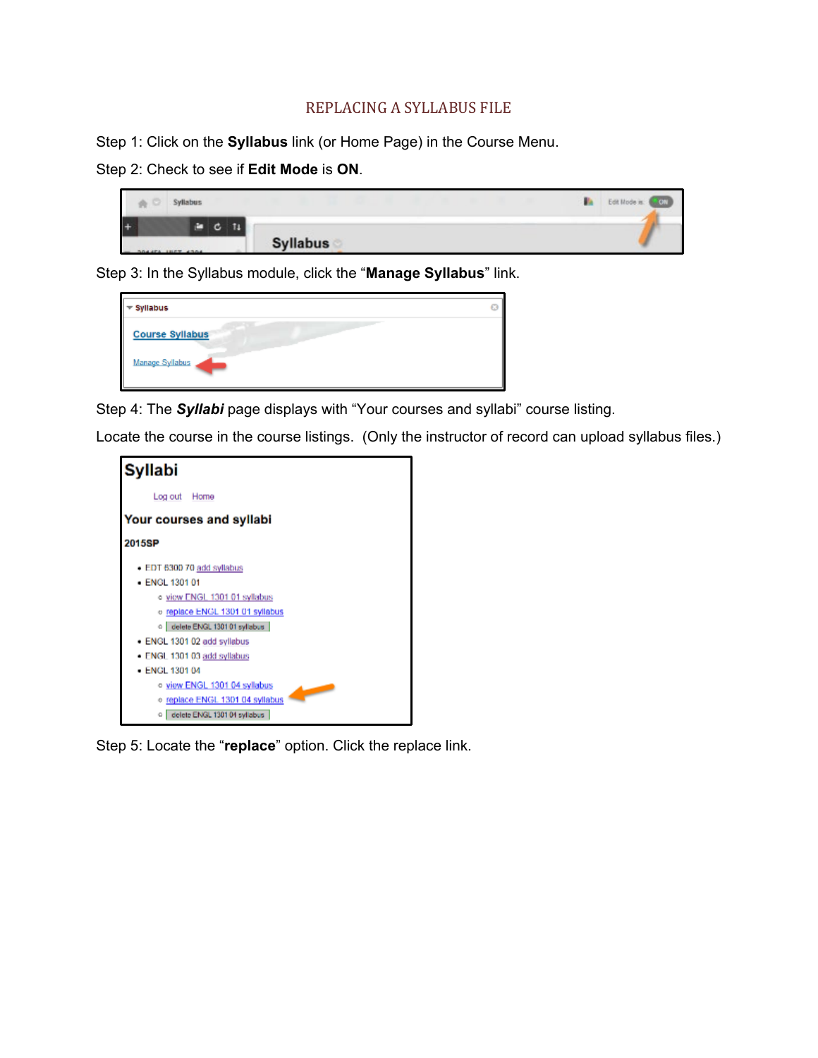### REPLACING A SYLLABUS FILE

Step 1: Click on the **Syllabus** link (or Home Page) in the Course Menu.

Step 2: Check to see if **Edit Mode** is **ON**.

| Syllabus<br>ň<br>÷ |   |                 |  | Edit Mode is: (  COL) |
|--------------------|---|-----------------|--|-----------------------|
| $+$                | c |                 |  |                       |
| DAILY THEY AREA    |   | <b>Syllabus</b> |  |                       |

Step 3: In the Syllabus module, click the "**Manage Syllabus**" link.

| Ø |
|---|
|   |
|   |

Step 4: The *Syllabi* page displays with "Your courses and syllabi" course listing.

Locate the course in the course listings. (Only the instructor of record can upload syllabus files.)



Step 5: Locate the "**replace**" option. Click the replace link.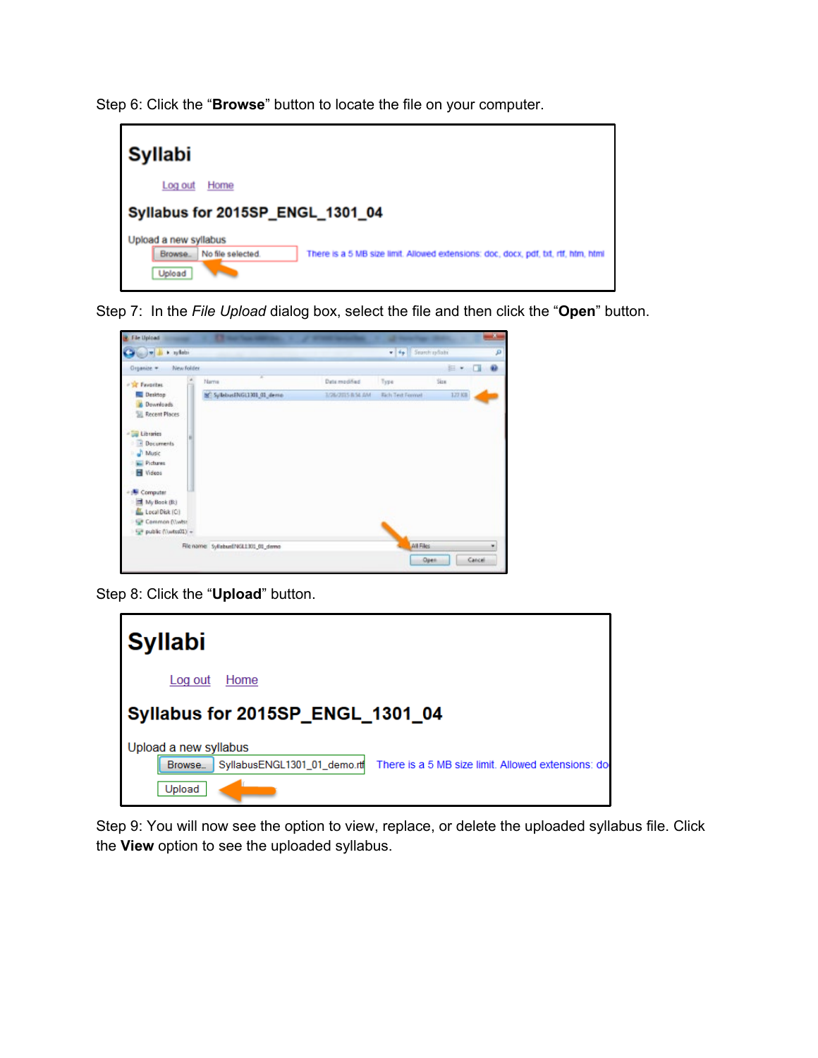Step 6: Click the "**Browse**" button to locate the file on your computer.



Step 7: In the *File Upload* dialog box, select the file and then click the "**Open**" button.



Step 8: Click the "**Upload**" button.



Step 9: You will now see the option to view, replace, or delete the uploaded syllabus file. Click the **View** option to see the uploaded syllabus.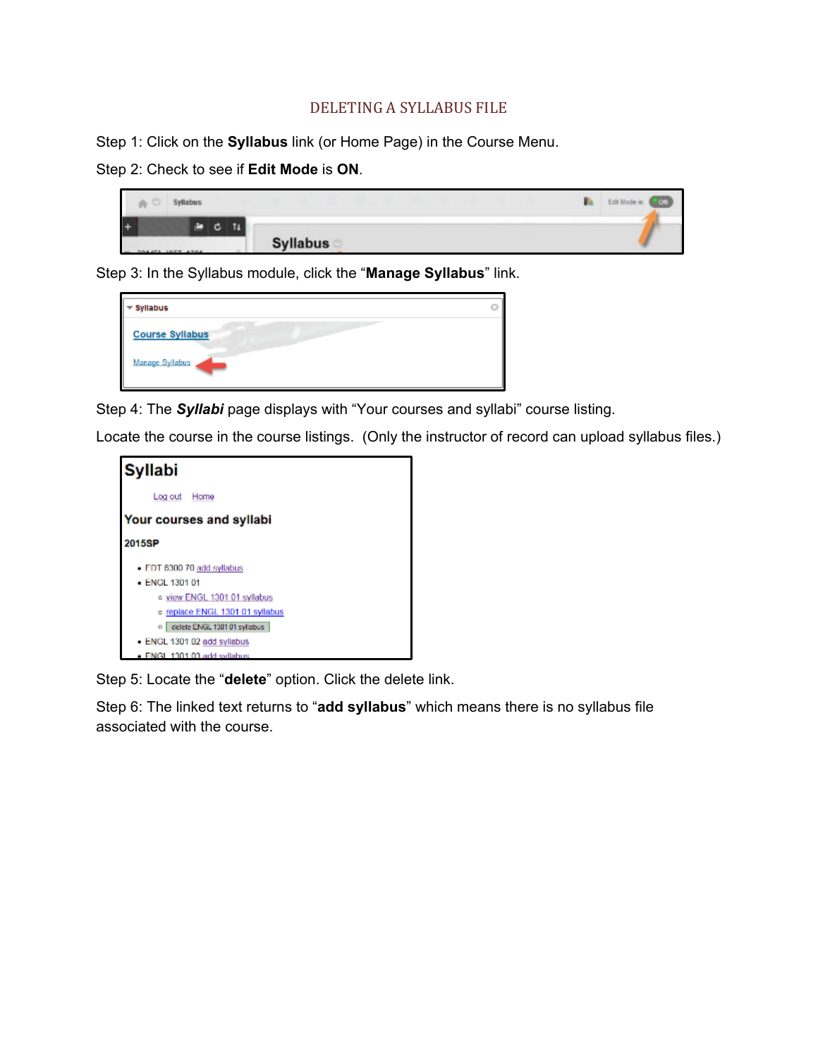## DELETING A SYLLABUS FILE

Step 1: Click on the **Syllabus** link (or Home Page) in the Course Menu.

Step 2: Check to see if **Edit Mode** is **ON**.

| ň<br>u | <b>Syllabus</b> |                 | ı | Edit Mode is: (  (CI) |
|--------|-----------------|-----------------|---|-----------------------|
|        | $C$ $11$<br>⋍   |                 |   |                       |
|        | DAARA JURT ADAA | <b>Syllabus</b> |   |                       |

Step 3: In the Syllabus module, click the "**Manage Syllabus**" link.

| Ø |
|---|
|   |
|   |

Step 4: The *Syllabi* page displays with "Your courses and syllabi" course listing.

Locate the course in the course listings. (Only the instructor of record can upload syllabus files.)



Step 5: Locate the "**delete**" option. Click the delete link.

Step 6: The linked text returns to "**add syllabus**" which means there is no syllabus file associated with the course.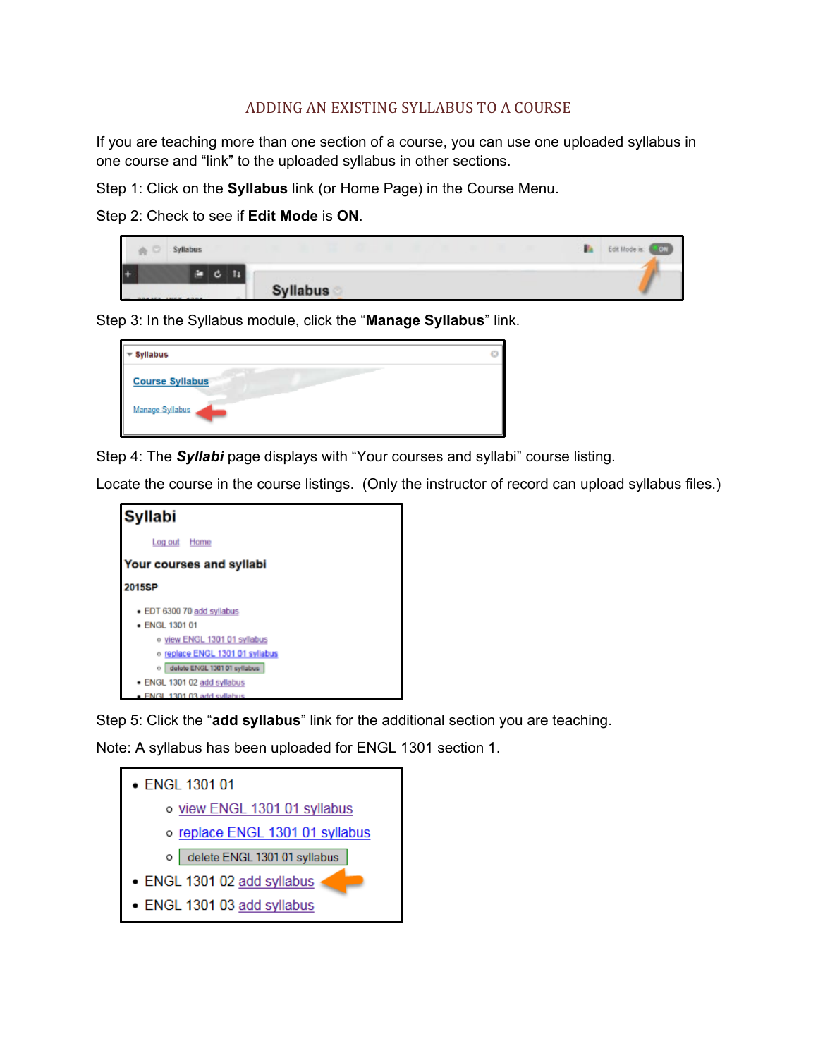## ADDING AN EXISTING SYLLABUS TO A COURSE

If you are teaching more than one section of a course, you can use one uploaded syllabus in one course and "link" to the uploaded syllabus in other sections.

Step 1: Click on the **Syllabus** link (or Home Page) in the Course Menu.

Step 2: Check to see if **Edit Mode** is **ON**.

|     | Syllabus |                 |  | Edit Mode is: (COV) |
|-----|----------|-----------------|--|---------------------|
| $+$ | G        |                 |  |                     |
|     |          | <b>Syllabus</b> |  |                     |

Step 3: In the Syllabus module, click the "**Manage Syllabus**" link.

| Syllabus               |  |
|------------------------|--|
| <b>Course Syllabus</b> |  |
| Manage Syllabus        |  |

Step 4: The *Syllabi* page displays with "Your courses and syllabi" course listing.

Locate the course in the course listings. (Only the instructor of record can upload syllabus files.)



Step 5: Click the "**add syllabus**" link for the additional section you are teaching.

Note: A syllabus has been uploaded for ENGL 1301 section 1.